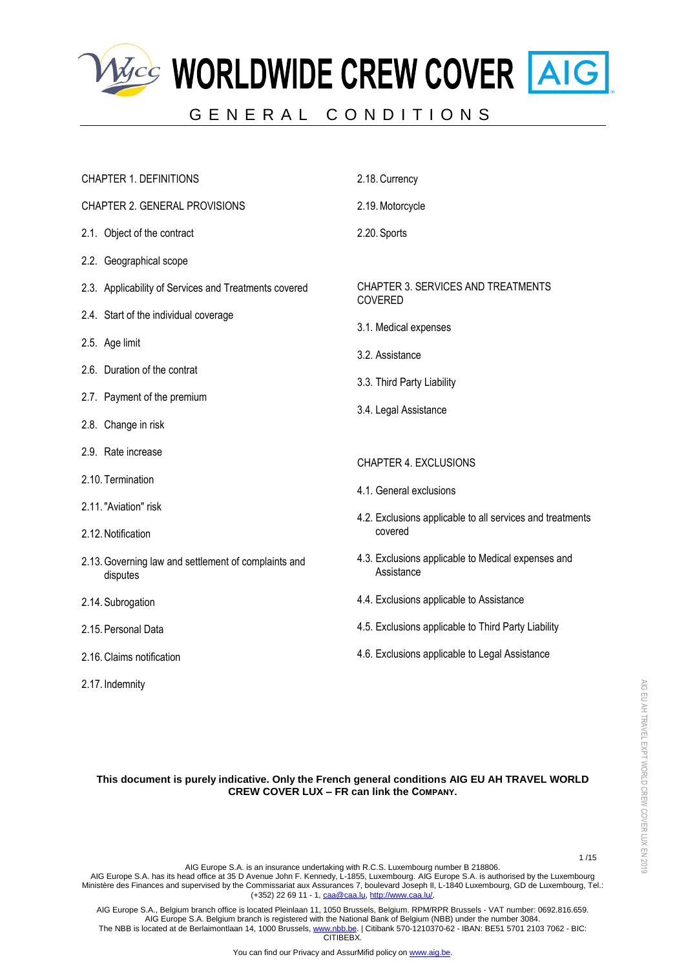

# GENERAL CONDITIONS



# **This document is purely indicative. Only the French general conditions AIG EU AH TRAVEL WORLD CREW COVER LUX – FR can link the COMPANY.**

1 /15

AIG EU AH TRAVEL EXPT WORLD CREW COVER LUX EN 2019

AIG EU AH TRAVEL EXPT WORLD CREW COVER LUX EN 2019

AIG Europe S.A. is an insurance undertaking with R.C.S. Luxembourg number B 218806.

AIG Europe S.A. has its head office at 35 D Avenue John F. Kennedy, L-1855, Luxembourg. AIG Europe S.A. is authorised by the Luxembourg Ministère des Finances and supervised by the Commissariat aux Assurances 7, boulevard Joseph II, L-1840 Luxembourg, GD de Luxembourg, Tel.: (+352) 22 69 11 - 1[, caa@caa.lu,](mailto:caa@caa.lu) [http://www.caa.lu/.](http://www.caa.lu/)

AIG Europe S.A., Belgium branch office is located Pleinlaan 11, 1050 Brussels, Belgium. RPM/RPR Brussels - VAT number: 0692.816.659. AIG Europe S.A. Belgium branch is registered with the National Bank of Belgium (NBB) under the number 3084. The NBB is located at de Berlaimontlaan 14, 1000 Brussels[, www.nbb.be.](http://www.nbb.be/) | Citibank 570-1210370-62 - IBAN: BE51 5701 2103 7062 - BIC: CITIBEBX.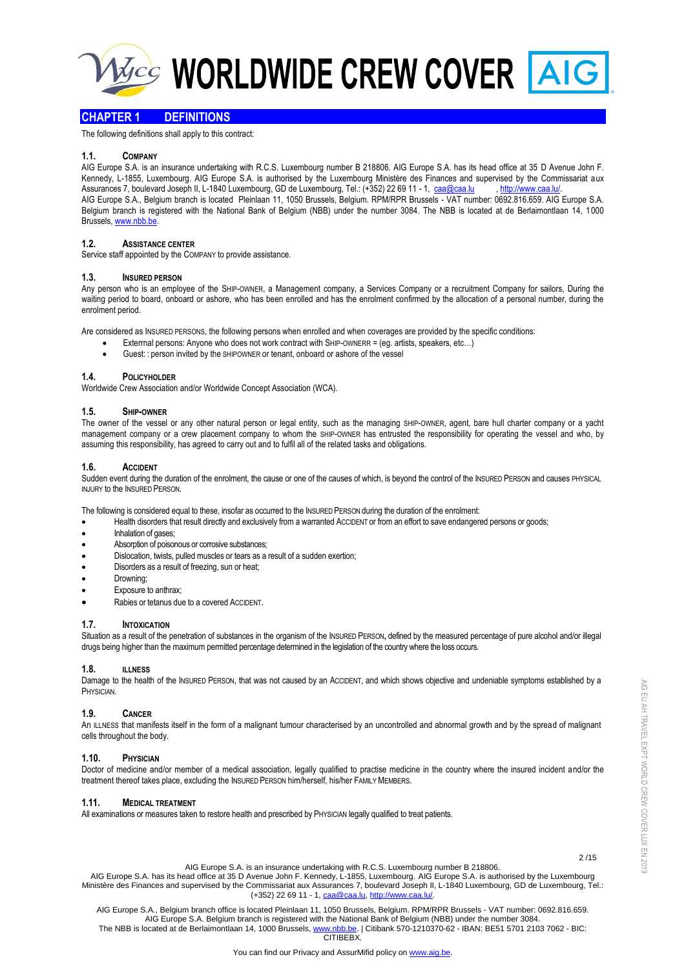

# **CHAPTER 1 DEFINITIONS**

The following definitions shall apply to this contract:

# **1.1. COMPANY**

AIG Europe S.A. is an insurance undertaking with R.C.S. Luxembourg number B 218806. AIG Europe S.A. has its head office at 35 D Avenue John F. Kennedy, L-1855, Luxembourg. AIG Europe S.A. is authorised by the Luxembourg Ministère des Finances and supervised by the Commissariat aux Assurances 7, boulevard Joseph II, L-1840 Luxembourg, GD de Luxembourg, Tel.: (+352) 22 69 11 - 1, [caa@caa.lu](mailto:caa@caa.lu) , http://www.caa.lu AIG Europe S.A., Belgium branch is located Pleinlaan 11, 1050 Brussels, Belgium. RPM/RPR Brussels - VAT number: 0692.816.659. AIG Europe S.A. Belgium branch is registered with the National Bank of Belgium (NBB) under the number 3084. The NBB is located at de Berlaimontlaan 14, 1000 Brussels[, www.nbb.be.](http://www.nbb.be/)

# **1.2. ASSISTANCE CENTER**

Service staff appointed by the COMPANY to provide assistance.

#### **1.3. INSURED PERSON**

Any person who is an employee of the SHIP-OWNER, a Management company, a Services Company or a recruitment Company for sailors, During the waiting period to board, onboard or ashore, who has been enrolled and has the enrolment confirmed by the allocation of a personal number, during the enrolment period.

Are considered as INSURED PERSONS, the following persons when enrolled and when coverages are provided by the specific conditions:

- Exterrnal persons: Anyone who does not work contract with SHIP-OWNERR = (eg. artists, speakers, etc...)
- Guest: : person invited by the SHIPOWNER or tenant, onboard or ashore of the vessel

### **1.4. POLICYHOLDER**

Worldwide Crew Association and/or Worldwide Concept Association (WCA).

# **1.5. SHIP-OWNER**

The owner of the vessel or any other natural person or legal entity, such as the managing SHIP-OWNER, agent, bare hull charter company or a yacht management company or a crew placement company to whom the SHIP-OWNER has entrusted the responsibility for operating the vessel and who, by assuming this responsibility, has agreed to carry out and to fulfil all of the related tasks and obligations.

### **1.6. ACCIDENT**

Sudden event during the duration of the enrolment, the cause or one of the causes of which, is beyond the control of the INSURED PERSON and causes PHYSICAL INJURY to the INSURED PERSON*.*

The following is considered equal to these, insofar as occurred to the INSURED PERSON during the duration of the enrolment:

- Health disorders that result directly and exclusively from a warranted ACCIDENT or from an effort to save endangered persons or goods;
- Inhalation of gases;
- Absorption of poisonous or corrosive substances;
- Dislocation, twists, pulled muscles or tears as a result of a sudden exertion;
- Disorders as a result of freezing, sun or heat;
- Drowning;
- Exposure to anthrax;
- Rabies or tetanus due to a covered ACCIDENT.

### **1.7. INTOXICATION**

Situation as a result of the penetration of substances in the organism of the INSURED PERSON**,** defined by the measured percentage of pure alcohol and/or illegal drugs being higher than the maximum permitted percentage determined in the legislation of the country where the loss occurs.

### **1.8. ILLNESS**

Damage to the health of the INSURED PERSON, that was not caused by an ACCIDENT, and which shows objective and undeniable symptoms established by a PHYSICIAN.

### **1.9. CANCER**

An ILLNESS that manifests itself in the form of a malignant tumour characterised by an uncontrolled and abnormal growth and by the spread of malignant cells throughout the body.

### **1.10. PHYSICIAN**

Doctor of medicine and/or member of a medical association, legally qualified to practise medicine in the country where the insured incident and/or the treatment thereof takes place, excluding the INSURED PERSON him/herself, his/her FAMILY MEMBERS.

### **1.11. MEDICAL TREATMENT**

All examinations or measures taken to restore health and prescribed by PHYSICIAN legally qualified to treat patients.

AIG EU AH TRAVEL EXPT WORLD CREW COVER LUX EN 2019

AIG EU AH TRAVEL EXPT WORLD CREW COVER LUX EN 2019

 2 /15 AIG Europe S.A. is an insurance undertaking with R.C.S. Luxembourg number B 218806.

AIG Europe S.A. has its head office at 35 D Avenue John F. Kennedy, L-1855, Luxembourg. AIG Europe S.A. is authorised by the Luxembourg Ministère des Finances and supervised by the Commissariat aux Assurances 7, boulevard Joseph II, L-1840 Luxembourg, GD de Luxembourg, Tel.: (+352) 22 69 11 - 1[, caa@caa.lu,](mailto:caa@caa.lu) [http://www.caa.lu/.](http://www.caa.lu/)

AIG Europe S.A., Belgium branch office is located Pleinlaan 11, 1050 Brussels, Belgium. RPM/RPR Brussels - VAT number: 0692.816.659. AIG Europe S.A. Belgium branch is registered with the National Bank of Belgium (NBB) under the number 3084. The NBB is located at de Berlaimontlaan 14, 1000 Brussels[, www.nbb.be.](http://www.nbb.be/) | Citibank 570-1210370-62 - IBAN: BE51 5701 2103 7062 - BIC: **CITIBEBY**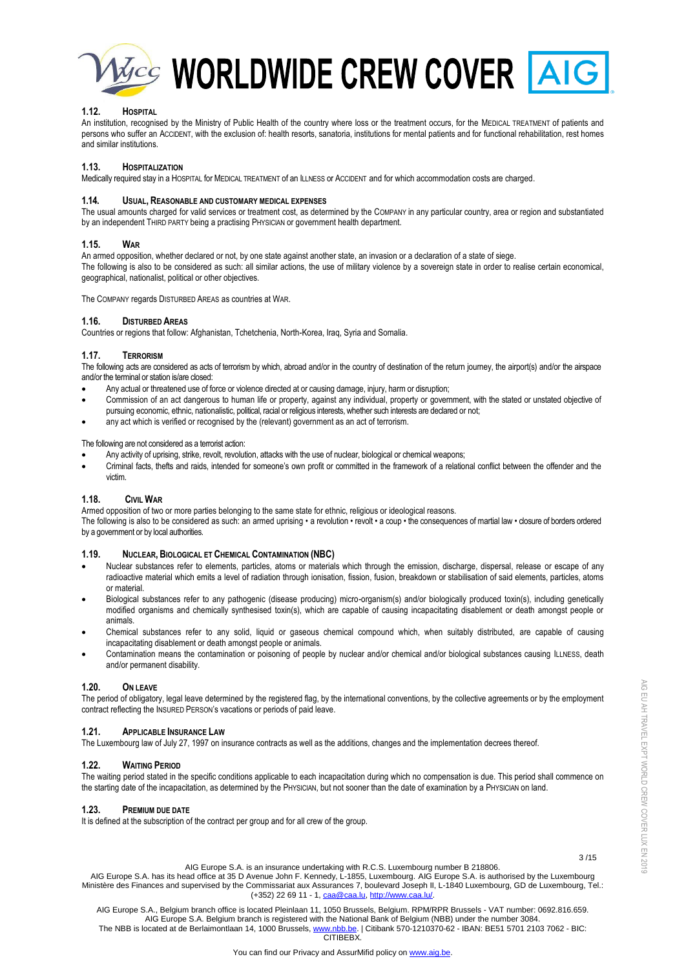

# **1.12. HOSPITAL**

An institution, recognised by the Ministry of Public Health of the country where loss or the treatment occurs, for the MEDICAL TREATMENT of patients and persons who suffer an ACCIDENT, with the exclusion of: health resorts, sanatoria, institutions for mental patients and for functional rehabilitation, rest homes and similar institutions.

# **1.13. HOSPITALIZATION**

Medically required stay in a HOSPITAL for MEDICAL TREATMENT of an ILLNESS or ACCIDENT and for which accommodation costs are charged.

## **1.14. USUAL, REASONABLE AND CUSTOMARY MEDICAL EXPENSES**

The usual amounts charged for valid services or treatment cost, as determined by the COMPANY in any particular country, area or region and substantiated by an independent THIRD PARTY being a practising PHYSICIAN or government health department.

# **1.15. WAR**

An armed opposition, whether declared or not, by one state against another state, an invasion or a declaration of a state of siege. The following is also to be considered as such: all similar actions, the use of military violence by a sovereign state in order to realise certain economical, geographical, nationalist, political or other objectives.

The COMPANY regards DISTURBED AREAS as countries at WAR.

## **1.16. DISTURBED AREAS**

Countries or regions that follow: Afghanistan, Tchetchenia, North-Korea, Iraq, Syria and Somalia.

# **1.17. TERRORISM**

The following acts are considered as acts of terrorism by which, abroad and/or in the country of destination of the return journey, the airport(s) and/or the airspace and/or the terminal or station is/are closed:

- Any actual or threatened use of force or violence directed at or causing damage, injury, harm or disruption;
- Commission of an act dangerous to human life or property, against any individual, property or government, with the stated or unstated objective of pursuing economic, ethnic, nationalistic, political, racial or religious interests, whether such interests are declared or not;
- any act which is verified or recognised by the (relevant) government as an act of terrorism.

### The following are not considered as a terrorist action:

- Any activity of uprising, strike, revolt, revolution, attacks with the use of nuclear, biological or chemical weapons;
- Criminal facts, thefts and raids, intended for someone's own profit or committed in the framework of a relational conflict between the offender and the victim.

# **1.18. CIVIL WAR**

Armed opposition of two or more parties belonging to the same state for ethnic, religious or ideological reasons. The following is also to be considered as such: an armed uprising • a revolution • revolt • a coup • the consequences of martial law • closure of borders ordered by a government or by local authorities.

# **1.19. NUCLEAR, BIOLOGICAL ET CHEMICAL CONTAMINATION (NBC)**

- Nuclear substances refer to elements, particles, atoms or materials which through the emission, discharge, dispersal, release or escape of any radioactive material which emits a level of radiation through ionisation, fission, fusion, breakdown or stabilisation of said elements, particles, atoms or material.
- Biological substances refer to any pathogenic (disease producing) micro-organism(s) and/or biologically produced toxin(s), including genetically modified organisms and chemically synthesised toxin(s), which are capable of causing incapacitating disablement or death amongst people or animals.
- Chemical substances refer to any solid, liquid or gaseous chemical compound which, when suitably distributed, are capable of causing incapacitating disablement or death amongst people or animals.
- Contamination means the contamination or poisoning of people by nuclear and/or chemical and/or biological substances causing ILLNESS, death and/or permanent disability.

# **1.20. ON LEAVE**

The period of obligatory, legal leave determined by the registered flag, by the international conventions, by the collective agreements or by the employment contract reflecting the INSURED PERSON's vacations or periods of paid leave.

# **1.21. APPLICABLE INSURANCE LAW**

The Luxembourg law of July 27, 1997 on insurance contracts as well as the additions, changes and the implementation decrees thereof.

## **1.22. WAITING PERIOD**

The waiting period stated in the specific conditions applicable to each incapacitation during which no compensation is due. This period shall commence on the starting date of the incapacitation, as determined by the PHYSICIAN, but not sooner than the date of examination by a PHYSICIAN on land.

## **1.23. PREMIUM DUE DATE**

It is defined at the subscription of the contract per group and for all crew of the group.

3 /15

AIG EU AH TRAVEL EXPT WORLD CREW COVER LUX EN 2019

AIG EU AH TRAVEL EXPT WORLD CREW COVER LUX EN 2019

AIG Europe S.A. is an insurance undertaking with R.C.S. Luxembourg number B 218806. AIG Europe S.A. has its head office at 35 D Avenue John F. Kennedy, L-1855, Luxembourg. AIG Europe S.A. is authorised by the Luxembourg Ministère des Finances and supervised by the Commissariat aux Assurances 7, boulevard Joseph II, L-1840 Luxembourg, GD de Luxembourg, Tel.: (+352) 22 69 11 - 1[, caa@caa.lu,](mailto:caa@caa.lu) [http://www.caa.lu/.](http://www.caa.lu/)

AIG Europe S.A., Belgium branch office is located Pleinlaan 11, 1050 Brussels, Belgium. RPM/RPR Brussels - VAT number: 0692.816.659. AIG Europe S.A. Belgium branch is registered with the National Bank of Belgium (NBB) under the number 3084. The NBB is located at de Berlaimontlaan 14, 1000 Brussels[, www.nbb.be.](http://www.nbb.be/) | Citibank 570-1210370-62 - IBAN: BE51 5701 2103 7062 - BIC: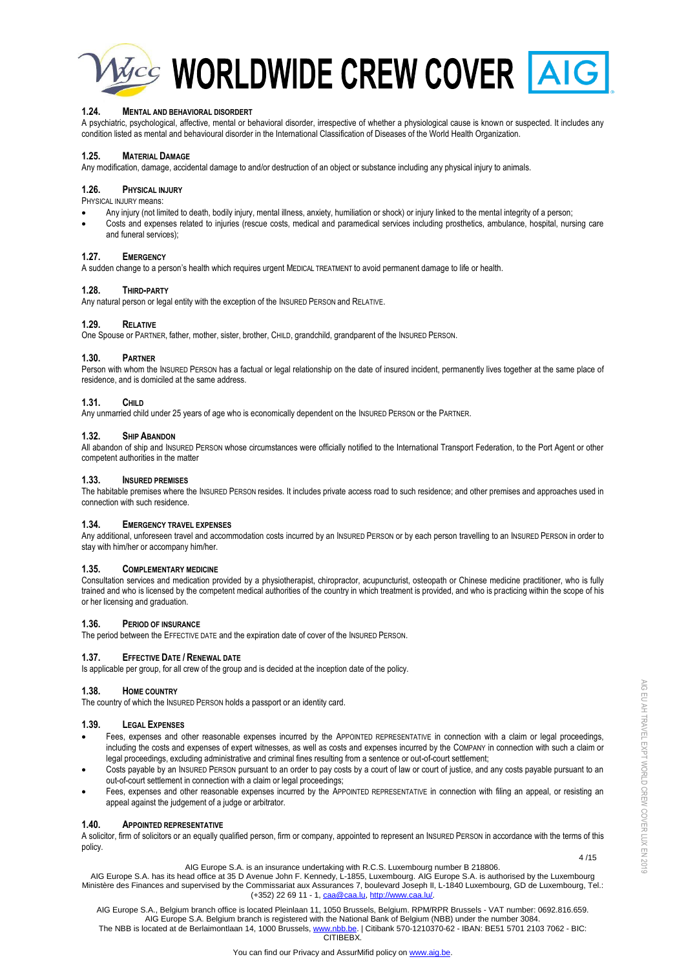

**Macc WORLDWIDE CREW COVER AIG** 

# **1.24. MENTAL AND BEHAVIORAL DISORDERT**

A psychiatric, psychological, affective, mental or behavioral disorder, irrespective of whether a physiological cause is known or suspected. It includes any condition listed as mental and behavioural disorder in the International Classification of Diseases of the World Health Organization.

# **1.25. MATERIAL DAMAGE**

Any modification, damage, accidental damage to and/or destruction of an object or substance including any physical injury to animals.

### **1.26. PHYSICAL INJURY**

PHYSICAL INJURY means:

- Any injury (not limited to death, bodily injury, mental illness, anxiety, humiliation or shock) or injury linked to the mental integrity of a person;
- Costs and expenses related to injuries (rescue costs, medical and paramedical services including prosthetics, ambulance, hospital, nursing care and funeral services);

# **1.27. EMERGENCY**

A sudden change to a person's health which requires urgent MEDICAL TREATMENT to avoid permanent damage to life or health.

### **1.28. THIRD-PARTY**

Any natural person or legal entity with the exception of the INSURED PERSON and RELATIVE.

# **1.29. RELATIVE**

One Spouse or PARTNER, father, mother, sister, brother, CHILD, grandchild, grandparent of the INSURED PERSON.

# **1.30. PARTNER**

Person with whom the INSURED PERSON has a factual or legal relationship on the date of insured incident, permanently lives together at the same place of residence, and is domiciled at the same address.

### **1.31. CHILD**

Any unmarried child under 25 years of age who is economically dependent on the INSURED PERSON or the PARTNER.

### **1.32. SHIP ABANDON**

All abandon of ship and INSURED PERSON whose circumstances were officially notified to the International Transport Federation, to the Port Agent or other competent authorities in the matter

## **1.33. INSURED PREMISES**

The habitable premises where the INSURED PERSON resides. It includes private access road to such residence; and other premises and approaches used in connection with such residence.

### **1.34. EMERGENCY TRAVEL EXPENSES**

Any additional, unforeseen travel and accommodation costs incurred by an INSURED PERSON or by each person travelling to an INSURED PERSON in order to stay with him/her or accompany him/her.

### **1.35. COMPLEMENTARY MEDICINE**

Consultation services and medication provided by a physiotherapist, chiropractor, acupuncturist, osteopath or Chinese medicine practitioner, who is fully trained and who is licensed by the competent medical authorities of the country in which treatment is provided, and who is practicing within the scope of his or her licensing and graduation.

# **1.36. PERIOD OF INSURANCE**

The period between the EFFECTIVE DATE and the expiration date of cover of the INSURED PERSON.

# **1.37. EFFECTIVE DATE / RENEWAL DATE**

Is applicable per group, for all crew of the group and is decided at the inception date of the policy.

# **1.38. HOME COUNTRY**

The country of which the INSURED PERSON holds a passport or an identity card.

### **1.39. LEGAL EXPENSES**

- Fees, expenses and other reasonable expenses incurred by the APPOINTED REPRESENTATIVE in connection with a claim or legal proceedings, including the costs and expenses of expert witnesses, as well as costs and expenses incurred by the COMPANY in connection with such a claim or legal proceedings, excluding administrative and criminal fines resulting from a sentence or out-of-court settlement;
- Costs payable by an INSURED PERSON pursuant to an order to pay costs by a court of law or court of justice, and any costs payable pursuant to an out-of-court settlement in connection with a claim or legal proceedings;
- Fees, expenses and other reasonable expenses incurred by the APPOINTED REPRESENTATIVE in connection with filing an appeal, or resisting an appeal against the judgement of a judge or arbitrator.

### **1.40. APPOINTED REPRESENTATIVE**

A solicitor, firm of solicitors or an equally qualified person, firm or company, appointed to represent an INSURED PERSON in accordance with the terms of this policy.

#### 4 /15 AIG Europe S.A. is an insurance undertaking with R.C.S. Luxembourg number B 218806.

AIG Europe S.A. has its head office at 35 D Avenue John F. Kennedy, L-1855, Luxembourg. AIG Europe S.A. is authorised by the Luxembourg Ministère des Finances and supervised by the Commissariat aux Assurances 7, boulevard Joseph II, L-1840 Luxembourg, GD de Luxembourg, Tel.: (+352) 22 69 11 - 1[, caa@caa.lu,](mailto:caa@caa.lu) [http://www.caa.lu/.](http://www.caa.lu/)

AIG Europe S.A., Belgium branch office is located Pleinlaan 11, 1050 Brussels, Belgium. RPM/RPR Brussels - VAT number: 0692.816.659. AIG Europe S.A. Belgium branch is registered with the National Bank of Belgium (NBB) under the number 3084. The NBB is located at de Berlaimontlaan 14, 1000 Brussels[, www.nbb.be.](http://www.nbb.be/) | Citibank 570-1210370-62 - IBAN: BE51 5701 2103 7062 - BIC: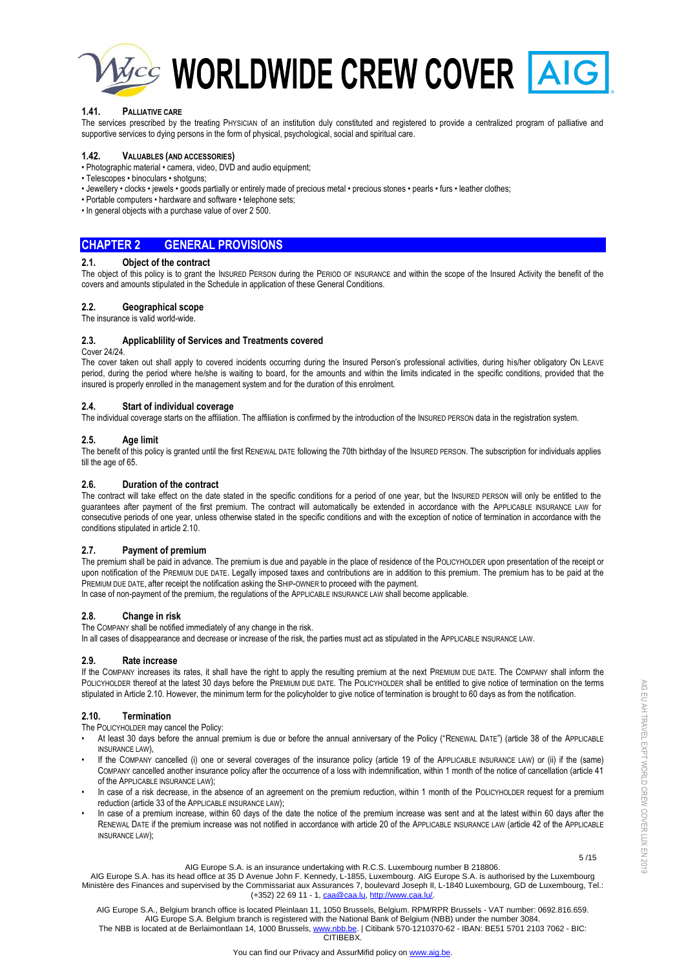

**Macy WORLDWIDE CREW COVER AIG** 

# **1.41. PALLIATIVE CARE**

The services prescribed by the treating PHYSICIAN of an institution duly constituted and registered to provide a centralized program of palliative and supportive services to dying persons in the form of physical, psychological, social and spiritual care.

# **1.42. VALUABLES (AND ACCESSORIES)**

- Photographic material camera, video, DVD and audio equipment;
- Telescopes binoculars shotguns;
- Jewellery clocks jewels goods partially or entirely made of precious metal precious stones pearls furs leather clothes;
- Portable computers hardware and software telephone sets;
- In general objects with a purchase value of over 2 500.

# **CHAPTER 2 GENERAL PROVISIONS**

# **2.1. Object of the contract**

The object of this policy is to grant the INSURED PERSON during the PERIOD OF INSURANCE and within the scope of the Insured Activity the benefit of the covers and amounts stipulated in the Schedule in application of these General Conditions.

# **2.2. Geographical scope**

The insurance is valid world-wide.

# **2.3. Applicablility of Services and Treatments covered**

#### Cover 24/24.

The cover taken out shall apply to covered incidents occurring during the Insured Person's professional activities, during his/her obligatory ON LEAVE period, during the period where he/she is waiting to board, for the amounts and within the limits indicated in the specific conditions, provided that the insured is properly enrolled in the management system and for the duration of this enrolment.

### **2.4. Start of individual coverage**

The individual coverage starts on the affiliation. The affiliation is confirmed by the introduction of the INSURED PERSON data in the registration system.

# **2.5. Age limit**

The benefit of this policy is granted until the first RENEWAL DATE following the 70th birthday of the INSURED PERSON. The subscription for individuals applies till the age of 65.

### **2.6. Duration of the contract**

The contract will take effect on the date stated in the specific conditions for a period of one year, but the INSURED PERSON will only be entitled to the guarantees after payment of the first premium. The contract will automatically be extended in accordance with the APPLICABLE INSURANCE LAW for consecutive periods of one year, unless otherwise stated in the specific conditions and with the exception of notice of termination in accordance with the conditions stipulated in article 2.10.

# **2.7. Payment of premium**

The premium shall be paid in advance. The premium is due and payable in the place of residence of the POLICYHOLDER upon presentation of the receipt or upon notification of the PREMIUM DUE DATE. Legally imposed taxes and contributions are in addition to this premium. The premium has to be paid at the PREMIUM DUE DATE, after receipt the notification asking the SHIP-OWNER to proceed with the payment.

In case of non-payment of the premium, the regulations of the APPLICABLE INSURANCE LAW shall become applicable.

### **2.8. Change in risk**

The COMPANY shall be notified immediately of any change in the risk.

In all cases of disappearance and decrease or increase of the risk, the parties must act as stipulated in the APPLICABLE INSURANCE LAW.

### **2.9. Rate increase**

If the COMPANY increases its rates, it shall have the right to apply the resulting premium at the next PREMIUM DUE DATE. The COMPANY shall inform the POLICYHOLDER thereof at the latest 30 days before the PREMIUM DUE DATE. The POLICYHOLDER shall be entitled to give notice of termination on the terms stipulated in Article 2.10. However, the minimum term for the policyholder to give notice of termination is brought to 60 days as from the notification.

# **2.10. Termination**

The POLICYHOLDER may cancel the Policy:

- At least 30 days before the annual premium is due or before the annual anniversary of the Policy ("RENEWAL DATE") (article 38 of the APPLICABLE INSURANCE LAW),
- If the COMPANY cancelled (i) one or several coverages of the insurance policy (article 19 of the APPLICABLE INSURANCE LAW) or (ii) if the (same) COMPANY cancelled another insurance policy after the occurrence of a loss with indemnification, within 1 month of the notice of cancellation (article 41 of the APPLICABLE INSURANCE LAW);
- In case of a risk decrease, in the absence of an agreement on the premium reduction, within 1 month of the POLICYHOLDER request for a premium reduction (article 33 of the APPLICABLE INSURANCE LAW);
- In case of a premium increase, within 60 days of the date the notice of the premium increase was sent and at the latest within 60 days after the RENEWAL DATE if the premium increase was not notified in accordance with article 20 of the APPLICABLE INSURANCE LAW (article 42 of the APPLICABLE INSURANCE LAW);

 $5/15$ AIG Europe S.A. is an insurance undertaking with R.C.S. Luxembourg number B 218806.

AIG Europe S.A. has its head office at 35 D Avenue John F. Kennedy, L-1855, Luxembourg. AIG Europe S.A. is authorised by the Luxembourg Ministère des Finances and supervised by the Commissariat aux Assurances 7, boulevard Joseph II, L-1840 Luxembourg, GD de Luxembourg, Tel.: (+352) 22 69 11 - 1[, caa@caa.lu,](mailto:caa@caa.lu) [http://www.caa.lu/.](http://www.caa.lu/)

AIG Europe S.A., Belgium branch office is located Pleinlaan 11, 1050 Brussels, Belgium. RPM/RPR Brussels - VAT number: 0692.816.659. AIG Europe S.A. Belgium branch is registered with the National Bank of Belgium (NBB) under the number 3084. The NBB is located at de Berlaimontlaan 14, 1000 Brussels[, www.nbb.be.](http://www.nbb.be/) | Citibank 570-1210370-62 - IBAN: BE51 5701 2103 7062 - BIC: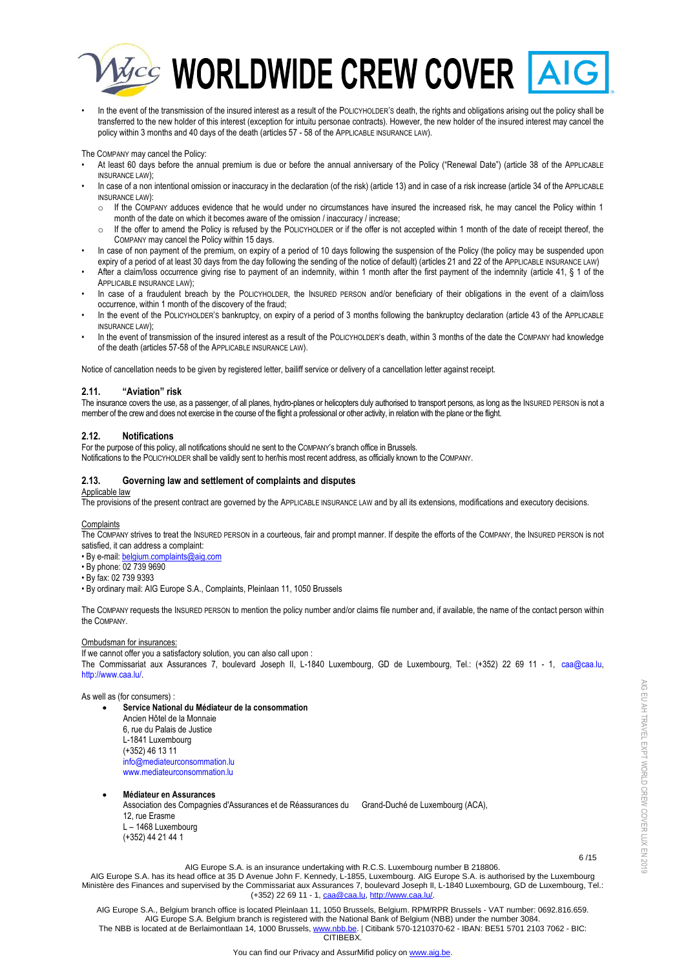

In the event of the transmission of the insured interest as a result of the POLICYHOLDER'S death, the rights and obligations arising out the policy shall be transferred to the new holder of this interest (exception for intuitu personae contracts). However, the new holder of the insured interest may cancel the policy within 3 months and 40 days of the death (articles 57 - 58 of the APPLICABLE INSURANCE LAW).

The COMPANY may cancel the Policy:

- At least 60 days before the annual premium is due or before the annual anniversary of the Policy ("Renewal Date") (article 38 of the APPLICABLE INSURANCE LAW);
- In case of a non intentional omission or inaccuracy in the declaration (of the risk) (article 13) and in case of a risk increase (article 34 of the APPLICABLE INSURANCE LAW):
	- o If the COMPANY adduces evidence that he would under no circumstances have insured the increased risk, he may cancel the Policy within 1 month of the date on which it becomes aware of the omission / inaccuracy / increase;
	- $\circ$  If the offer to amend the Policy is refused by the POLICYHOLDER or if the offer is not accepted within 1 month of the date of receipt thereof, the COMPANY may cancel the Policy within 15 days.
- In case of non payment of the premium, on expiry of a period of 10 days following the suspension of the Policy (the policy may be suspended upon expiry of a period of at least 30 days from the day following the sending of the notice of default) (articles 21 and 22 of the APPLICABLE INSURANCE LAW)
- After a claim/loss occurrence giving rise to payment of an indemnity, within 1 month after the first payment of the indemnity (article 41, § 1 of the APPLICABLE INSURANCE LAW);
- In case of a fraudulent breach by the POLICYHOLDER, the INSURED PERSON and/or beneficiary of their obligations in the event of a claim/loss occurrence, within 1 month of the discovery of the fraud;
- In the event of the POLICYHOLDER'S bankruptcy, on expiry of a period of 3 months following the bankruptcy declaration (article 43 of the APPLICABLE INSURANCE LAW);
- In the event of transmission of the insured interest as a result of the POLICYHOLDER's death, within 3 months of the date the COMPANY had knowledge of the death (articles 57-58 of the APPLICABLE INSURANCE LAW).

Notice of cancellation needs to be given by registered letter, bailiff service or delivery of a cancellation letter against receipt.

# **2.11. "Aviation" risk**

The insurance covers the use, as a passenger, of all planes, hydro-planes or helicopters duly authorised to transport persons, as long as the INSURED PERSON is not a member of the crew and does not exercise in the course of the flight a professional or other activity, in relation with the plane or the flight.

# **2.12. Notifications**

For the purpose of this policy, all notifications should ne sent to the COMPANY's branch office in Brussels.

Notifications to the POLICYHOLDER shall be validly sent to her/his most recent address, as officially known to the COMPANY.

# **2.13. Governing law and settlement of complaints and disputes**

# Applicable law

The provisions of the present contract are governed by the APPLICABLE INSURANCE LAW and by all its extensions, modifications and executory decisions.

### **Complaints**

The COMPANY strives to treat the INSURED PERSON in a courteous, fair and prompt manner. If despite the efforts of the COMPANY, the INSURED PERSON is not satisfied, it can address a complaint:

- By e-mail[: belgium.complaints@aig.com](mailto:belgium.complaints@aig.com)
- By phone: 02 739 9690
- By fax: 02 739 9393
- By ordinary mail: AIG Europe S.A., Complaints, Pleinlaan 11, 1050 Brussels

The COMPANY requests the INSURED PERSON to mention the policy number and/or claims file number and, if available, the name of the contact person within the COMPANY.

### Ombudsman for insurances:

If we cannot offer you a satisfactory solution, you can also call upon : The Commissariat aux Assurances 7, boulevard Joseph II, L-1840 Luxembourg, GD de Luxembourg, Tel.: (+352) 22 69 11 - 1, [caa@caa.lu,](mailto:caa@caa.lu)  [http://www.caa.lu/.](http://www.caa.lu/) 

As well as (for consumers) :

- **Service National du Médiateur de la consommation** Ancien Hôtel de la Monnaie 6, rue du Palais de Justice L-1841 Luxembourg (+352) 46 13 11 [info@mediateurconsommation.lu](mailto:info@mediateurconsommation.lu) [www.mediateurconsommation.lu](https://urldefense.proofpoint.com/v2/url?u=http-3A__www.mediateurconsommation.lu&d=DwMGaQ&c=kn4_INW_mBCDHV_xJEVJkg&r=no79KWUGp03oX_4D94fIU84hz6-K680ndFcEjdarhIQ&m=Oy1LYeH-7Ct-rqkgYI_mNFmwDf1cFn-uJ9jMaTmozsY&s=gstUPERdKxQAQW5Vyg-ulqr3pJSaCGbLuqWEcLsBqeA&e=)
- **Médiateur en Assurances**

Association des Compagnies d'Assurances et de Réassurances du Grand-Duché de Luxembourg (ACA), 12, rue Erasme L – 1468 Luxembourg (+352) 44 21 44 1

 $6/15$ AIG Europe S.A. is an insurance undertaking with R.C.S. Luxembourg number B 218806.

AIG EU AH TRAVEL EXPT WORLD CREW COVER LUX EN 2019

AIG EU AH TRAVEL EXPT WORLD CREW COVER LUX EN 2019

AIG Europe S.A. has its head office at 35 D Avenue John F. Kennedy, L-1855, Luxembourg. AIG Europe S.A. is authorised by the Luxembourg Ministère des Finances and supervised by the Commissariat aux Assurances 7, boulevard Joseph II, L-1840 Luxembourg, GD de Luxembourg, Tel.: (+352) 22 69 11 - 1[, caa@caa.lu,](mailto:caa@caa.lu) [http://www.caa.lu/.](http://www.caa.lu/)

AIG Europe S.A., Belgium branch office is located Pleinlaan 11, 1050 Brussels, Belgium. RPM/RPR Brussels - VAT number: 0692.816.659. AIG Europe S.A. Belgium branch is registered with the National Bank of Belgium (NBB) under the number 3084. The NBB is located at de Berlaimontlaan 14, 1000 Brussels[, www.nbb.be.](http://www.nbb.be/) | Citibank 570-1210370-62 - IBAN: BE51 5701 2103 7062 - BIC: **CITIBEBY**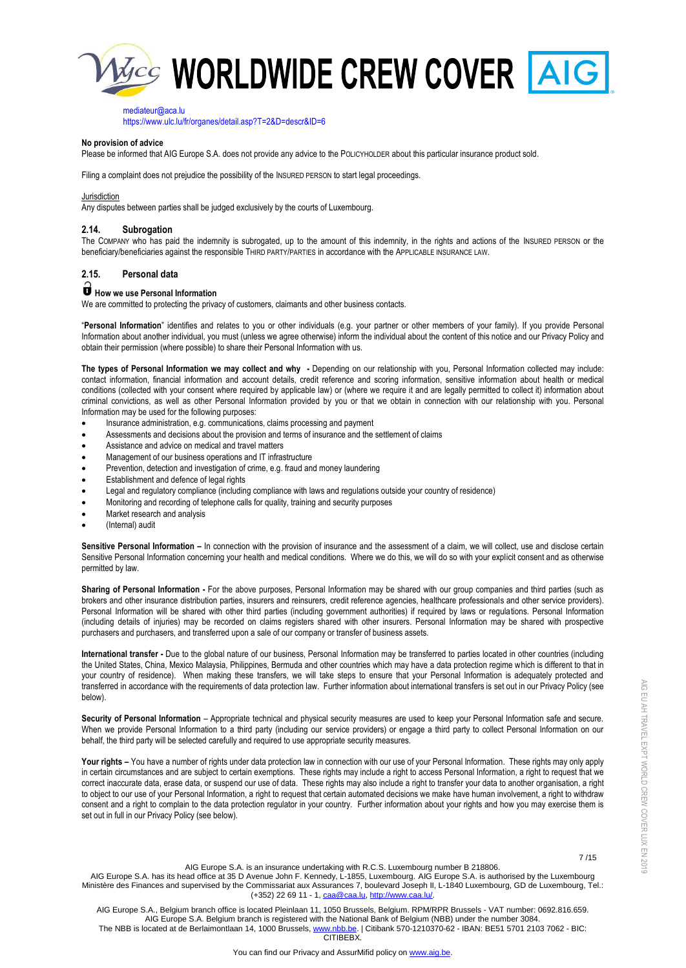

[mediateur@aca.lu](mailto:mediateur@aca.lu)

[https://www.ulc.lu/fr/organes/detail.asp?T=2&D=descr&ID=6](https://urldefense.proofpoint.com/v2/url?u=https-3A__www.ulc.lu_fr_organes_detail.asp-3FT-3D2-26D-3Ddescr-26ID-3D6&d=DwMGaQ&c=kn4_INW_mBCDHV_xJEVJkg&r=no79KWUGp03oX_4D94fIU84hz6-K680ndFcEjdarhIQ&m=Oy1LYeH-7Ct-rqkgYI_mNFmwDf1cFn-uJ9jMaTmozsY&s=azMsG9wH5N81LYB-F2EPVI5hrxL1YtsfVCAyVN7BEUY&e=)

#### **No provision of advice**

Please be informed that AIG Europe S.A. does not provide any advice to the POLICYHOLDER about this particular insurance product sold.

Filing a complaint does not prejudice the possibility of the INSURED PERSON to start legal proceedings.

#### Jurisdiction

Any disputes between parties shall be judged exclusively by the courts of Luxembourg.

## **2.14. Subrogation**

The COMPANY who has paid the indemnity is subrogated, up to the amount of this indemnity, in the rights and actions of the INSURED PERSON or the beneficiary/beneficiaries against the responsible THIRD PARTY/PARTIES in accordance with the APPLICABLE INSURANCE LAW.

# **2.15. Personal data**

# **How we use Personal Information**

We are committed to protecting the privacy of customers, claimants and other business contacts.

"**Personal Information**" identifies and relates to you or other individuals (e.g. your partner or other members of your family). If you provide Personal Information about another individual, you must (unless we agree otherwise) inform the individual about the content of this notice and our Privacy Policy and obtain their permission (where possible) to share their Personal Information with us.

**The types of Personal Information we may collect and why -** Depending on our relationship with you, Personal Information collected may include: contact information, financial information and account details, credit reference and scoring information, sensitive information about health or medical conditions (collected with your consent where required by applicable law) or (where we require it and are legally permitted to collect it) information about criminal convictions, as well as other Personal Information provided by you or that we obtain in connection with our relationship with you. Personal Information may be used for the following purposes:

- Insurance administration, e.g. communications, claims processing and payment
- Assessments and decisions about the provision and terms of insurance and the settlement of claims
- Assistance and advice on medical and travel matters
- Management of our business operations and IT infrastructure
- Prevention, detection and investigation of crime, e.g. fraud and money laundering
- Establishment and defence of legal rights
- Legal and regulatory compliance (including compliance with laws and regulations outside your country of residence)
- Monitoring and recording of telephone calls for quality, training and security purposes
- Market research and analysis
- (Internal) audit

Sensitive Personal Information - In connection with the provision of insurance and the assessment of a claim, we will collect, use and disclose certain Sensitive Personal Information concerning your health and medical conditions. Where we do this, we will do so with your explicit consent and as otherwise permitted by law.

**Sharing of Personal Information -** For the above purposes, Personal Information may be shared with our group companies and third parties (such as brokers and other insurance distribution parties, insurers and reinsurers, credit reference agencies, healthcare professionals and other service providers). Personal Information will be shared with other third parties (including government authorities) if required by laws or regulations. Personal Information (including details of injuries) may be recorded on claims registers shared with other insurers. Personal Information may be shared with prospective purchasers and purchasers, and transferred upon a sale of our company or transfer of business assets.

**International transfer -** Due to the global nature of our business, Personal Information may be transferred to parties located in other countries (including the United States, China, Mexico Malaysia, Philippines, Bermuda and other countries which may have a data protection regime which is different to that in your country of residence). When making these transfers, we will take steps to ensure that your Personal Information is adequately protected and transferred in accordance with the requirements of data protection law. Further information about international transfers is set out in our Privacy Policy (see below).

**Security of Personal Information** – Appropriate technical and physical security measures are used to keep your Personal Information safe and secure. When we provide Personal Information to a third party (including our service providers) or engage a third party to collect Personal Information on our behalf, the third party will be selected carefully and required to use appropriate security measures.

Your rights - You have a number of rights under data protection law in connection with our use of your Personal Information. These rights may only apply in certain circumstances and are subject to certain exemptions. These rights may include a right to access Personal Information, a right to request that we correct inaccurate data, erase data, or suspend our use of data. These rights may also include a right to transfer your data to another organisation, a right to object to our use of your Personal Information, a right to request that certain automated decisions we make have human involvement, a right to withdraw consent and a right to complain to the data protection regulator in your country. Further information about your rights and how you may exercise them is set out in full in our Privacy Policy (see below).

7 /15

AIG EU AH TRAVEL EXPT WORLD CREW COVER LUX EN 2019

AIG EU AH TRAVEL EXPT WORLD CREW COVER LUX EN 2019

AIG Europe S.A. is an insurance undertaking with R.C.S. Luxembourg number B 218806. AIG Europe S.A. has its head office at 35 D Avenue John F. Kennedy, L-1855, Luxembourg. AIG Europe S.A. is authorised by the Luxembourg Ministère des Finances and supervised by the Commissariat aux Assurances 7, boulevard Joseph II, L-1840 Luxembourg, GD de Luxembourg, Tel.: (+352) 22 69 11 - 1[, caa@caa.lu,](mailto:caa@caa.lu) [http://www.caa.lu/.](http://www.caa.lu/)

AIG Europe S.A., Belgium branch office is located Pleinlaan 11, 1050 Brussels, Belgium. RPM/RPR Brussels - VAT number: 0692.816.659. AIG Europe S.A. Belgium branch is registered with the National Bank of Belgium (NBB) under the number 3084. The NBB is located at de Berlaimontlaan 14, 1000 Brussels[, www.nbb.be.](http://www.nbb.be/) | Citibank 570-1210370-62 - IBAN: BE51 5701 2103 7062 - BIC:

**CITIBEBX**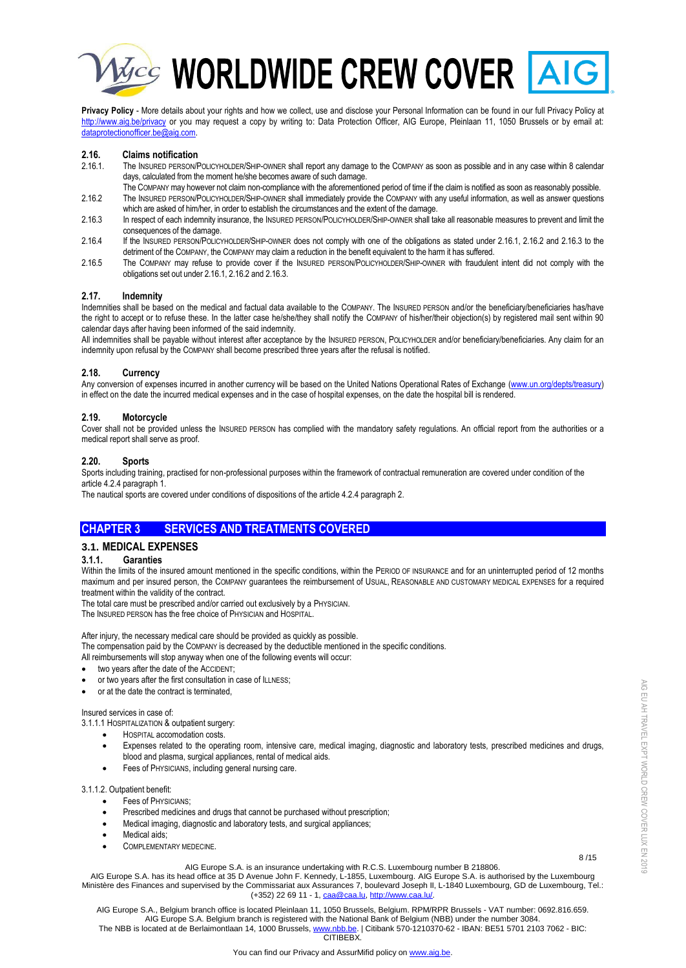

# **Maccy WORLDWIDE CREW COVER AIG**

**Privacy Policy** - More details about your rights and how we collect, use and disclose your Personal Information can be found in our full Privacy Policy at <http://www.aig.be/privacy> or you may request a copy by writing to: Data Protection Officer, AIG Europe, Pleinlaan 11, 1050 Brussels or by email at: [dataprotectionofficer.be@aig.com.](mailto:dataprotectionofficer.be@aig.com) 

# **2.16. Claims notification**

- 2.16.1. The INSURED PERSON/POLICYHOLDER/SHIP-OWNER shall report any damage to the COMPANY as soon as possible and in any case within 8 calendar days, calculated from the moment he/she becomes aware of such damage.
- The COMPANY may however not claim non-compliance with the aforementioned period of time if the claim is notified as soon as reasonably possible. 2.16.2 The INSURED PERSON/POLICYHOLDER/SHIP-OWNER shall immediately provide the COMPANY with any useful information, as well as answer questions which are asked of him/her, in order to establish the circumstances and the extent of the damage.
- 2.16.3 In respect of each indemnity insurance, the INSURED PERSON/POLICYHOLDER/SHIP-OWNER shall take all reasonable measures to prevent and limit the consequences of the damage.
- 2.16.4 If the INSURED PERSON/POLICYHOLDER/SHIP-OWNER does not comply with one of the obligations as stated under 2.16.1, 2.16.2 and 2.16.3 to the detriment of the COMPANY, the COMPANY may claim a reduction in the benefit equivalent to the harm it has suffered.
- 2.16.5 The COMPANY may refuse to provide cover if the INSURED PERSON/POLICYHOLDER/SHIP-OWNER with fraudulent intent did not comply with the obligations set out under 2.16.1, 2.16.2 and 2.16.3.

# **2.17. Indemnity**

Indemnities shall be based on the medical and factual data available to the COMPANY. The INSURED PERSON and/or the beneficiary/beneficiaries has/have the right to accept or to refuse these. In the latter case he/she/they shall notify the COMPANY of his/her/their objection(s) by registered mail sent within 90 calendar days after having been informed of the said indemnity.

All indemnities shall be payable without interest after acceptance by the INSURED PERSON, POLICYHOLDER and/or beneficiary/beneficiaries. Any claim for an indemnity upon refusal by the COMPANY shall become prescribed three years after the refusal is notified.

# **2.18. Currency**

Any conversion of expenses incurred in another currency will be based on the United Nations Operational Rates of Exchange [\(www.un.org/depts/treasury\)](http://www.un.org/depts/treasury) in effect on the date the incurred medical expenses and in the case of hospital expenses, on the date the hospital bill is rendered.

# **2.19. Motorcycle**

Cover shall not be provided unless the INSURED PERSON has complied with the mandatory safety regulations. An official report from the authorities or a medical report shall serve as proof.

# **2.20. Sports**

Sports including training, practised for non-professional purposes within the framework of contractual remuneration are covered under condition of the article 4.2.4 paragraph 1.

The nautical sports are covered under conditions of dispositions of the article 4.2.4 paragraph 2.

# **CHAPTER 3 SERVICES AND TREATMENTS COVERED**

# **3.1. MEDICAL EXPENSES**

### **3.1.1. Garanties**

Within the limits of the insured amount mentioned in the specific conditions, within the PERIOD OF INSURANCE and for an uninterrupted period of 12 months maximum and per insured person, the COMPANY guarantees the reimbursement of USUAL, REASONABLE AND CUSTOMARY MEDICAL EXPENSES for a required treatment within the validity of the contract.

The total care must be prescribed and/or carried out exclusively by a PHYSICIAN.

The INSURED PERSON has the free choice of PHYSICIAN and HOSPITAL.

After injury, the necessary medical care should be provided as quickly as possible.

The compensation paid by the COMPANY is decreased by the deductible mentioned in the specific conditions.

All reimbursements will stop anyway when one of the following events will occur:

- two years after the date of the ACCIDENT;
- or two years after the first consultation in case of ILLNESS;
- or at the date the contract is terminated,

#### Insured services in case of:

- 3.1.1.1 HOSPITALIZATION & outpatient surgery:
	- HOSPITAL accomodation costs.
	- Expenses related to the operating room, intensive care, medical imaging, diagnostic and laboratory tests, prescribed medicines and drugs, blood and plasma, surgical appliances, rental of medical aids.
	- Fees of PHYSICIANS, including general nursing care.

#### 3.1.1.2. Outpatient benefit:

- Fees of PHYSICIANS;
- Prescribed medicines and drugs that cannot be purchased without prescription;
- Medical imaging, diagnostic and laboratory tests, and surgical appliances;
- Medical aids;
- COMPLEMENTARY MEDECINE.

#### 8 /15 AIG Europe S.A. is an insurance undertaking with R.C.S. Luxembourg number B 218806.

AIG Europe S.A. has its head office at 35 D Avenue John F. Kennedy, L-1855, Luxembourg. AIG Europe S.A. is authorised by the Luxembourg Ministère des Finances and supervised by the Commissariat aux Assurances 7, boulevard Joseph II, L-1840 Luxembourg, GD de Luxembourg, Tel.: (+352) 22 69 11 - 1[, caa@caa.lu,](mailto:caa@caa.lu) [http://www.caa.lu/.](http://www.caa.lu/)

AIG Europe S.A., Belgium branch office is located Pleinlaan 11, 1050 Brussels, Belgium. RPM/RPR Brussels - VAT number: 0692.816.659. AIG Europe S.A. Belgium branch is registered with the National Bank of Belgium (NBB) under the number 3084. The NBB is located at de Berlaimontlaan 14, 1000 Brussels[, www.nbb.be.](http://www.nbb.be/) | Citibank 570-1210370-62 - IBAN: BE51 5701 2103 7062 - BIC: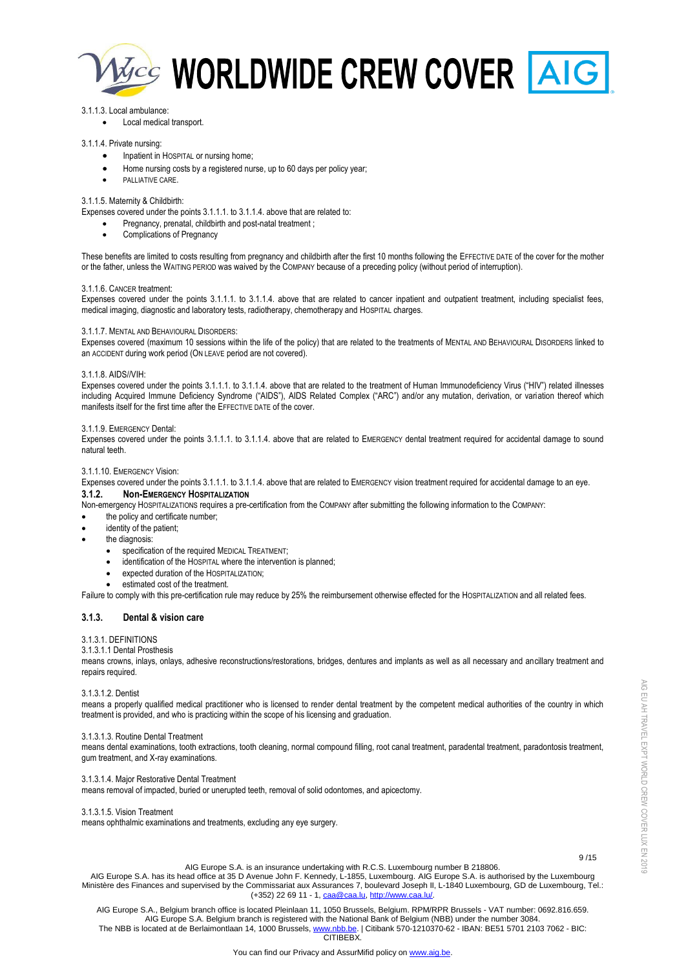

### 3.1.1.3. Local ambulance:

Local medical transport.

# 3.1.1.4. Private nursing:

- Inpatient in HOSPITAL or nursing home;
- Home nursing costs by a registered nurse, up to 60 days per policy year;
- PALLIATIVE CARE.

# 3.1.1.5. Maternity & Childbirth:

Expenses covered under the points 3.1.1.1. to 3.1.1.4. above that are related to:

- Pregnancy, prenatal, childbirth and post-natal treatment ;
- Complications of Pregnancy

These benefits are limited to costs resulting from pregnancy and childbirth after the first 10 months following the EFFECTIVE DATE of the cover for the mother or the father, unless the WAITING PERIOD was waived by the COMPANY because of a preceding policy (without period of interruption).

#### 3.1.1.6. CANCER treatment:

Expenses covered under the points 3.1.1.1. to 3.1.1.4. above that are related to cancer inpatient and outpatient treatment, including specialist fees, medical imaging, diagnostic and laboratory tests, radiotherapy, chemotherapy and HOSPITAL charges.

#### 3.1.1.7. MENTAL AND BEHAVIOURAL DISORDERS:

Expenses covered (maximum 10 sessions within the life of the policy) that are related to the treatments of MENTAL AND BEHAVIOURAL DISORDERS linked to an ACCIDENT during work period (ON LEAVE period are not covered).

#### 3.1.1.8. AIDS//VIH:

Expenses covered under the points 3.1.1.1. to 3.1.1.4. above that are related to the treatment of Human Immunodeficiency Virus ("HIV") related illnesses including Acquired Immune Deficiency Syndrome ("AIDS"), AIDS Related Complex ("ARC") and/or any mutation, derivation, or variation thereof which manifests itself for the first time after the EFFECTIVE DATE of the cover.

#### 3.1.1.9. EMERGENCY Dental:

Expenses covered under the points 3.1.1.1. to 3.1.1.4. above that are related to EMERGENCY dental treatment required for accidental damage to sound natural teeth.

## 3.1.1.10. EMERGENCY Vision:

Expenses covered under the points 3.1.1.1. to 3.1.1.4. above that are related to EMERGENCY vision treatment required for accidental damage to an eye. **3.1.2. Non-EMERGENCY HOSPITALIZATION**

Non-emergency HOSPITALIZATIONS requires a pre-certification from the COMPANY after submitting the following information to the COMPANY:

- the policy and certificate number;
- identity of the patient;
- the diagnosis:
	- specification of the required MEDICAL TREATMENT;
	- identification of the HOSPITAL where the intervention is planned;
	- expected duration of the HOSPITALIZATION;
	- estimated cost of the treatment.

Failure to comply with this pre-certification rule may reduce by 25% the reimbursement otherwise effected for the HOSPITALIZATION and all related fees.

### **3.1.3. Dental & vision care**

### 3.1.3.1. DEFINITIONS

#### 3.1.3.1.1 Dental Prosthesis

means crowns, inlays, onlays, adhesive reconstructions/restorations, bridges, dentures and implants as well as all necessary and ancillary treatment and repairs required.

### 3.1.3.1.2. Dentist

means a properly qualified medical practitioner who is licensed to render dental treatment by the competent medical authorities of the country in which treatment is provided, and who is practicing within the scope of his licensing and graduation.

#### 3.1.3.1.3. Routine Dental Treatment

means dental examinations, tooth extractions, tooth cleaning, normal compound filling, root canal treatment, paradental treatment, paradontosis treatment, gum treatment, and X-ray examinations.

# 3.1.3.1.4. Major Restorative Dental Treatment

means removal of impacted, buried or unerupted teeth, removal of solid odontomes, and apicectomy.

### 3.1.3.1.5. Vision Treatment

means ophthalmic examinations and treatments, excluding any eye surgery.

 9 /15 AIG Europe S.A. is an insurance undertaking with R.C.S. Luxembourg number B 218806.

AIG Europe S.A. has its head office at 35 D Avenue John F. Kennedy, L-1855, Luxembourg. AIG Europe S.A. is authorised by the Luxembourg Ministère des Finances and supervised by the Commissariat aux Assurances 7, boulevard Joseph II, L-1840 Luxembourg, GD de Luxembourg, Tel.: (+352) 22 69 11 - 1[, caa@caa.lu,](mailto:caa@caa.lu) [http://www.caa.lu/.](http://www.caa.lu/)

AIG Europe S.A., Belgium branch office is located Pleinlaan 11, 1050 Brussels, Belgium. RPM/RPR Brussels - VAT number: 0692.816.659. AIG Europe S.A. Belgium branch is registered with the National Bank of Belgium (NBB) under the number 3084. The NBB is located at de Berlaimontlaan 14, 1000 Brussels[, www.nbb.be.](http://www.nbb.be/) | Citibank 570-1210370-62 - IBAN: BE51 5701 2103 7062 - BIC: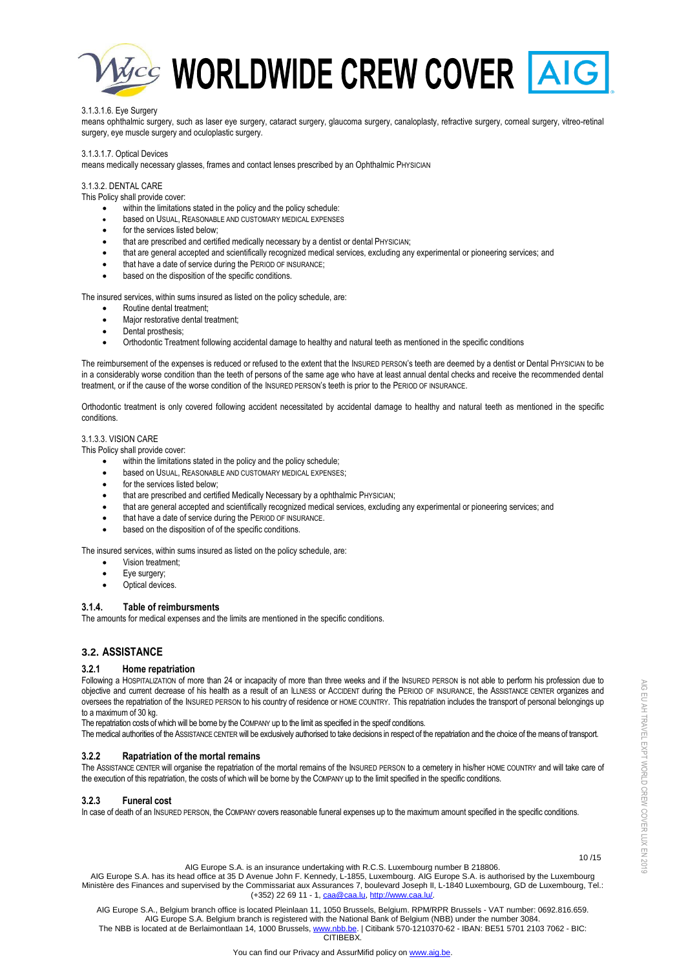

## 3.1.3.1.6. Eye Surgery

means ophthalmic surgery, such as laser eye surgery, cataract surgery, glaucoma surgery, canaloplasty, refractive surgery, corneal surgery, vitreo-retinal surgery, eye muscle surgery and oculoplastic surgery.

#### 3.1.3.1.7. Optical Devices

means medically necessary glasses, frames and contact lenses prescribed by an Ophthalmic PHYSICIAN

# 3.1.3.2. DENTAL CARE

This Policy shall provide cover:

- within the limitations stated in the policy and the policy schedule:
- based on USUAL, REASONABLE AND CUSTOMARY MEDICAL EXPENSES
- for the services listed below:
- that are prescribed and certified medically necessary by a dentist or dental PHYSICIAN;
- that are general accepted and scientifically recognized medical services, excluding any experimental or pioneering services; and
- that have a date of service during the PERIOD OF INSURANCE;
- based on the disposition of the specific conditions.

The insured services, within sums insured as listed on the policy schedule, are:

- Routine dental treatment;
- Major restorative dental treatment;
- Dental prosthesis;
- Orthodontic Treatment following accidental damage to healthy and natural teeth as mentioned in the specific conditions

The reimbursement of the expenses is reduced or refused to the extent that the INSURED PERSON's teeth are deemed by a dentist or Dental PHYSICIAN to be in a considerably worse condition than the teeth of persons of the same age who have at least annual dental checks and receive the recommended dental treatment, or if the cause of the worse condition of the INSURED PERSON's teeth is prior to the PERIOD OF INSURANCE.

Orthodontic treatment is only covered following accident necessitated by accidental damage to healthy and natural teeth as mentioned in the specific conditions.

# 3.1.3.3. VISION CARE

This Policy shall provide cover:

- within the limitations stated in the policy and the policy schedule;
- $\bullet$  based on USUAL, REASONABLE AND CUSTOMARY MEDICAL EXPENSES;
- for the services listed below;
- that are prescribed and certified Medically Necessary by a ophthalmic PHYSICIAN;
- that are general accepted and scientifically recognized medical services, excluding any experimental or pioneering services; and
- that have a date of service during the PERIOD OF INSURANCE.
- based on the disposition of of the specific conditions.

The insured services, within sums insured as listed on the policy schedule, are:

- Vision treatment;
- Eye surgery;
- Optical devices.

#### **3.1.4. Table of reimbursments**

The amounts for medical expenses and the limits are mentioned in the specific conditions.

# **3.2. ASSISTANCE**

## **3.2.1 Home repatriation**

Following a HOSPITALIZATION of more than 24 or incapacity of more than three weeks and if the INSURED PERSON is not able to perform his profession due to objective and current decrease of his health as a result of an ILLNESS or ACCIDENT during the PERIOD OF INSURANCE, the ASSISTANCE CENTER organizes and oversees the repatriation of the INSURED PERSON to his country of residence or HOME COUNTRY. This repatriation includes the transport of personal belongings up to a maximum of 30 kg.

The repatriation costs of which will be borne by the COMPANY up to the limit as specified in the specif conditions.

The medical authorities of the ASSISTANCE CENTER will be exclusively authorised to take decisions in respect of the repatriation and the choice of the means of transport.

## **3.2.2 Rapatriation of the mortal remains**

The ASSISTANCE CENTER will organise the repatriation of the mortal remains of the INSURED PERSON to a cemetery in his/her HOME COUNTRY and will take care of the execution of this repatriation, the costs of which will be borne by the COMPANY up to the limit specified in the specific conditions.

#### **3.2.3 Funeral cost**

In case of death of an INSURED PERSON, the COMPANY covers reasonable funeral expenses up to the maximum amount specified in the specific conditions.

AIG Europe S.A. is an insurance undertaking with R.C.S. Luxembourg number B 218806.

AIG Europe S.A. has its head office at 35 D Avenue John F. Kennedy, L-1855, Luxembourg. AIG Europe S.A. is authorised by the Luxembourg Ministère des Finances and supervised by the Commissariat aux Assurances 7, boulevard Joseph II, L-1840 Luxembourg, GD de Luxembourg, Tel.: (+352) 22 69 11 - 1[, caa@caa.lu,](mailto:caa@caa.lu) [http://www.caa.lu/.](http://www.caa.lu/)

AIG Europe S.A., Belgium branch office is located Pleinlaan 11, 1050 Brussels, Belgium. RPM/RPR Brussels - VAT number: 0692.816.659. AIG Europe S.A. Belgium branch is registered with the National Bank of Belgium (NBB) under the number 3084. The NBB is located at de Berlaimontlaan 14, 1000 Brussels[, www.nbb.be.](http://www.nbb.be/) | Citibank 570-1210370-62 - IBAN: BE51 5701 2103 7062 - BIC:

**CITIBEBY** 

10 /15

AIG EU AH TRAVEL EXPT WORLD CREW COVER LUX EN 2019

AIG EU AH TRAVEL EXPT WORLD CREW COVER LUX EN 2019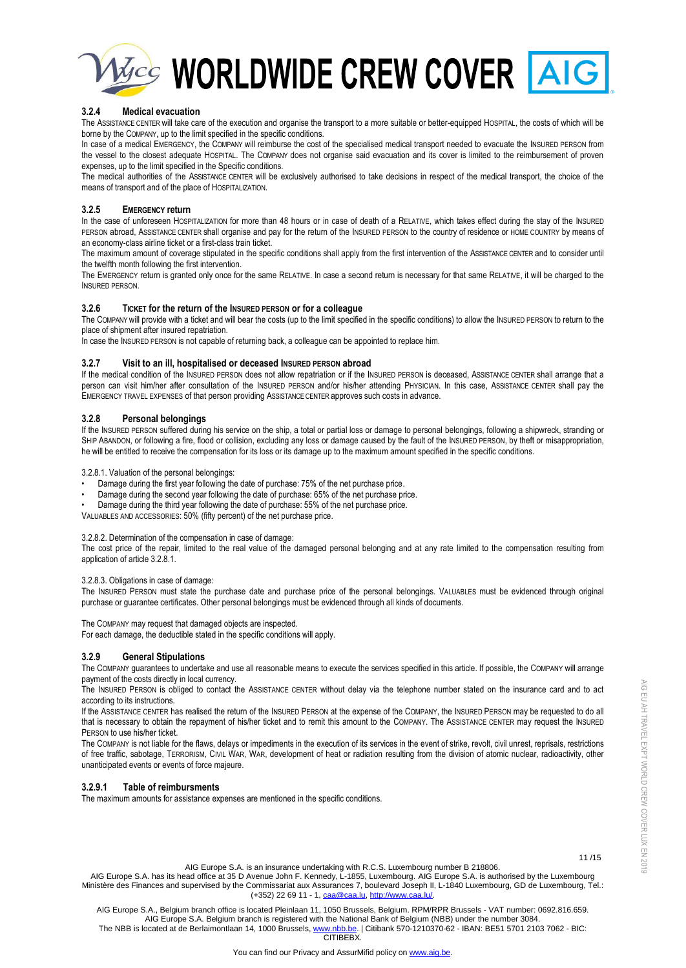

# **3.2.4 Medical evacuation**

The ASSISTANCE CENTER will take care of the execution and organise the transport to a more suitable or better-equipped HOSPITAL, the costs of which will be borne by the COMPANY, up to the limit specified in the specific conditions.

In case of a medical EMERGENCY, the COMPANY will reimburse the cost of the specialised medical transport needed to evacuate the INSURED PERSON from the vessel to the closest adequate HOSPITAL. The COMPANY does not organise said evacuation and its cover is limited to the reimbursement of proven expenses, up to the limit specified in the Specific conditions.

The medical authorities of the ASSISTANCE CENTER will be exclusively authorised to take decisions in respect of the medical transport, the choice of the means of transport and of the place of HOSPITALIZATION.

# **3.2.5 EMERGENCY return**

In the case of unforeseen HOSPITALIZATION for more than 48 hours or in case of death of a RELATIVE, which takes effect during the stay of the INSURED PERSON abroad, ASSISTANCE CENTER shall organise and pay for the return of the INSURED PERSON to the country of residence or HOME COUNTRY by means of an economy-class airline ticket or a first-class train ticket.

The maximum amount of coverage stipulated in the specific conditions shall apply from the first intervention of the ASSISTANCE CENTER and to consider until the twelfth month following the first intervention.

The EMERGENCY return is granted only once for the same RELATIVE. In case a second return is necessary for that same RELATIVE, it will be charged to the INSURED PERSON.

# **3.2.6 TICKET for the return of the INSURED PERSON or for a colleague**

The COMPANY will provide with a ticket and will bear the costs (up to the limit specified in the specific conditions) to allow the INSURED PERSON to return to the place of shipment after insured repatriation.

In case the INSURED PERSON is not capable of returning back, a colleague can be appointed to replace him.

# **3.2.7 Visit to an ill, hospitalised or deceased INSURED PERSON abroad**

If the medical condition of the INSURED PERSON does not allow repatriation or if the INSURED PERSON is deceased, ASSISTANCE CENTER shall arrange that a person can visit him/her after consultation of the INSURED PERSON and/or his/her attending PHYSICIAN. In this case, ASSISTANCE CENTER shall pay the EMERGENCY TRAVEL EXPENSES of that person providing ASSISTANCE CENTER approves such costs in advance.

# **3.2.8 Personal belongings**

If the INSURED PERSON suffered during his service on the ship, a total or partial loss or damage to personal belongings, following a shipwreck, stranding or SHIP ABANDON, or following a fire, flood or collision, excluding any loss or damage caused by the fault of the INSURED PERSON, by theft or misappropriation, he will be entitled to receive the compensation for its loss or its damage up to the maximum amount specified in the specific conditions.

3.2.8.1. Valuation of the personal belongings:

- Damage during the first year following the date of purchase: 75% of the net purchase price.
- Damage during the second year following the date of purchase: 65% of the net purchase price.
- Damage during the third year following the date of purchase: 55% of the net purchase price.

VALUABLES AND ACCESSORIES: 50% (fifty percent) of the net purchase price.

### 3.2.8.2. Determination of the compensation in case of damage:

The cost price of the repair, limited to the real value of the damaged personal belonging and at any rate limited to the compensation resulting from application of article 3.2.8.1.

### 3.2.8.3. Obligations in case of damage:

The INSURED PERSON must state the purchase date and purchase price of the personal belongings. VALUABLES must be evidenced through original purchase or guarantee certificates. Other personal belongings must be evidenced through all kinds of documents.

The COMPANY may request that damaged objects are inspected.

For each damage, the deductible stated in the specific conditions will apply.

### **3.2.9 General Stipulations**

The COMPANY guarantees to undertake and use all reasonable means to execute the services specified in this article. If possible, the COMPANY will arrange payment of the costs directly in local currency.

The INSURED PERSON is obliged to contact the ASSISTANCE CENTER without delay via the telephone number stated on the insurance card and to act according to its instructions.

If the ASSISTANCE CENTER has realised the return of the INSURED PERSON at the expense of the COMPANY, the INSURED PERSON may be requested to do all that is necessary to obtain the repayment of his/her ticket and to remit this amount to the COMPANY. The ASSISTANCE CENTER may request the INSURED PERSON to use his/her ticket.

The COMPANY is not liable for the flaws, delays or impediments in the execution of its services in the event of strike, revolt, civil unrest, reprisals, restrictions of free traffic, sabotage, TERRORISM, CIVIL WAR, WAR, development of heat or radiation resulting from the division of atomic nuclear, radioactivity, other unanticipated events or events of force majeure.

### **3.2.9.1 Table of reimbursments**

The maximum amounts for assistance expenses are mentioned in the specific conditions.

AIG EU AH TRAVEL EXPT WORLD CREW COVER LUX EN 2019

AIG EU AH TRAVEL EXPT WORLD CREW COVER LUX EN 2019

 11 /15 AIG Europe S.A. is an insurance undertaking with R.C.S. Luxembourg number B 218806.

AIG Europe S.A. has its head office at 35 D Avenue John F. Kennedy, L-1855, Luxembourg. AIG Europe S.A. is authorised by the Luxembourg Ministère des Finances and supervised by the Commissariat aux Assurances 7, boulevard Joseph II, L-1840 Luxembourg, GD de Luxembourg, Tel.: (+352) 22 69 11 - 1[, caa@caa.lu,](mailto:caa@caa.lu) [http://www.caa.lu/.](http://www.caa.lu/)

AIG Europe S.A., Belgium branch office is located Pleinlaan 11, 1050 Brussels, Belgium. RPM/RPR Brussels - VAT number: 0692.816.659. AIG Europe S.A. Belgium branch is registered with the National Bank of Belgium (NBB) under the number 3084. The NBB is located at de Berlaimontlaan 14, 1000 Brussels[, www.nbb.be.](http://www.nbb.be/) | Citibank 570-1210370-62 - IBAN: BE51 5701 2103 7062 - BIC: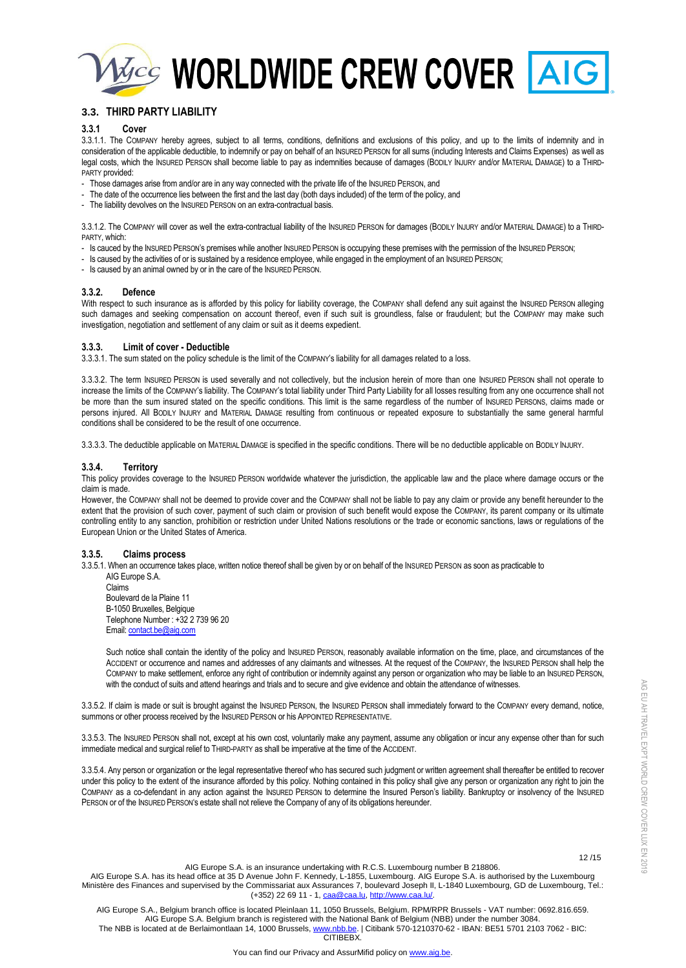

# **3.3. THIRD PARTY LIABILITY**

## **3.3.1 Cover**

3.3.1.1. The COMPANY hereby agrees, subject to all terms, conditions, definitions and exclusions of this policy, and up to the limits of indemnity and in consideration of the applicable deductible, to indemnify or pay on behalf of an INSURED PERSON for all sums (including Interests and Claims Expenses) as well as legal costs, which the INSURED PERSON shall become liable to pay as indemnities because of damages (BODILY INJURY and/or MATERIAL DAMAGE) to a THIRD-PARTY provided:

- Those damages arise from and/or are in any way connected with the private life of the INSURED PERSON, and
- The date of the occurrence lies between the first and the last day (both days included) of the term of the policy, and
- The liability devolves on the INSURED PERSON on an extra-contractual basis.

3.3.1.2. The COMPANY will cover as well the extra-contractual liability of the INSURED PERSON for damages (BODILY INJURY and/or MATERIAL DAMAGE) to a THIRD-PARTY, which:

- Is cauced by the INSURED PERSON's premises while another INSURED PERSON is occupying these premises with the permission of the INSURED PERSON;
- Is caused by the activities of or is sustained by a residence employee, while engaged in the employment of an INSURED PERSON;
- Is caused by an animal owned by or in the care of the INSURED PERSON.

# **3.3.2. Defence**

With respect to such insurance as is afforded by this policy for liability coverage, the COMPANY shall defend any suit against the INSURED PERSON alleging such damages and seeking compensation on account thereof, even if such suit is groundless, false or fraudulent; but the COMPANY may make such investigation, negotiation and settlement of any claim or suit as it deems expedient.

### **3.3.3. Limit of cover - Deductible**

3.3.3.1. The sum stated on the policy schedule is the limit of the COMPANY's liability for all damages related to a loss.

3.3.3.2. The term INSURED PERSON is used severally and not collectively, but the inclusion herein of more than one INSURED PERSON shall not operate to increase the limits of the COMPANY's liability. The COMPANY's total liability under Third Party Liability for all losses resulting from any one occurrence shall not be more than the sum insured stated on the specific conditions. This limit is the same regardless of the number of INSURED PERSONS, claims made or persons injured. All BODILY INJURY and MATERIAL DAMAGE resulting from continuous or repeated exposure to substantially the same general harmful conditions shall be considered to be the result of one occurrence.

3.3.3.3. The deductible applicable on MATERIAL DAMAGE is specified in the specific conditions. There will be no deductible applicable on BODILY INJURY.

### **3.3.4. Territory**

This policy provides coverage to the INSURED PERSON worldwide whatever the jurisdiction, the applicable law and the place where damage occurs or the claim is made.

However, the COMPANY shall not be deemed to provide cover and the COMPANY shall not be liable to pay any claim or provide any benefit hereunder to the extent that the provision of such cover, payment of such claim or provision of such benefit would expose the COMPANY, its parent company or its ultimate controlling entity to any sanction, prohibition or restriction under United Nations resolutions or the trade or economic sanctions, laws or regulations of the European Union or the United States of America.

### **3.3.5. Claims process**

3.3.5.1. When an occurrence takes place, written notice thereof shall be given by or on behalf of the INSURED PERSON as soon as practicable to AIG Europe S.A.

Claims Boulevard de la Plaine 11 B-1050 Bruxelles, Belgique Telephone Number : +32 2 739 96 20 Email[: contact.be@aig.com](mailto:contact.be@aig.com)

Such notice shall contain the identity of the policy and INSURED PERSON, reasonably available information on the time, place, and circumstances of the ACCIDENT or occurrence and names and addresses of any claimants and witnesses. At the request of the COMPANY, the INSURED PERSON shall help the COMPANY to make settlement, enforce any right of contribution or indemnity against any person or organization who may be liable to an INSURED PERSON, with the conduct of suits and attend hearings and trials and to secure and give evidence and obtain the attendance of witnesses.

3.3.5.2. If claim is made or suit is brought against the INSURED PERSON, the INSURED PERSON shall immediately forward to the COMPANY every demand, notice, summons or other process received by the INSURED PERSON or his APPOINTED REPRESENTATIVE.

3.3.5.3. The INSURED PERSON shall not, except at his own cost, voluntarily make any payment, assume any obligation or incur any expense other than for such immediate medical and surgical relief to THIRD-PARTY as shall be imperative at the time of the ACCIDENT.

3.3.5.4. Any person or organization or the legal representative thereof who has secured such judgment or written agreement shall thereafter be entitled to recover under this policy to the extent of the insurance afforded by this policy. Nothing contained in this policy shall give any person or organization any right to join the COMPANY as a co-defendant in any action against the INSURED PERSON to determine the Insured Person's liability. Bankruptcy or insolvency of the INSURED PERSON or of the INSURED PERSON's estate shall not relieve the Company of any of its obligations hereunder.

12 /15

AIG EU AH TRAVEL EXPT WORLD CREW COVER LUX EN 2019

AIG EU AH TRAVEL EXPT WORLD CREW COVER LUX EN 2019

AIG Europe S.A. is an insurance undertaking with R.C.S. Luxembourg number B 218806.

AIG Europe S.A. has its head office at 35 D Avenue John F. Kennedy, L-1855, Luxembourg. AIG Europe S.A. is authorised by the Luxembourg Ministère des Finances and supervised by the Commissariat aux Assurances 7, boulevard Joseph II, L-1840 Luxembourg, GD de Luxembourg, Tel.: (+352) 22 69 11 - 1[, caa@caa.lu,](mailto:caa@caa.lu) [http://www.caa.lu/.](http://www.caa.lu/)

AIG Europe S.A., Belgium branch office is located Pleinlaan 11, 1050 Brussels, Belgium. RPM/RPR Brussels - VAT number: 0692.816.659. AIG Europe S.A. Belgium branch is registered with the National Bank of Belgium (NBB) under the number 3084. The NBB is located at de Berlaimontlaan 14, 1000 Brussels[, www.nbb.be.](http://www.nbb.be/) | Citibank 570-1210370-62 - IBAN: BE51 5701 2103 7062 - BIC: **CITIBEBY**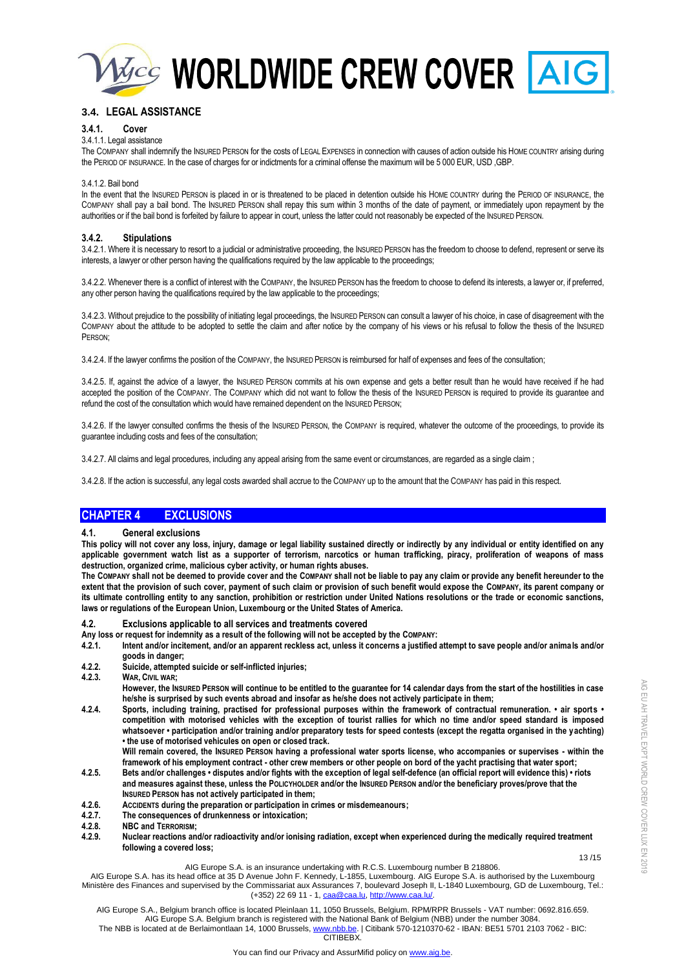

# **3.4. LEGAL ASSISTANCE**

# **3.4.1. Cover**

# 3.4.1.1. Legal assistance

The COMPANY shall indemnify the INSURED PERSON for the costs of LEGAL EXPENSES in connection with causes of action outside his HOME COUNTRY arising during the PERIOD OF INSURANCE. In the case of charges for or indictments for a criminal offense the maximum will be 5 000 EUR, USD ,GBP.

#### 3.4.1.2. Bail bond

In the event that the INSURED PERSON is placed in or is threatened to be placed in detention outside his HOME COUNTRY during the PERIOD OF INSURANCE, the COMPANY shall pay a bail bond. The INSURED PERSON shall repay this sum within 3 months of the date of payment, or immediately upon repayment by the authorities or if the bail bond is forfeited by failure to appear in court, unless the latter could not reasonably be expected of the INSURED PERSON.

# **3.4.2. Stipulations**

3.4.2.1. Where it is necessary to resort to a judicial or administrative proceeding, the INSURED PERSON has the freedom to choose to defend, represent or serve its interests, a lawyer or other person having the qualifications required by the law applicable to the proceedings;

3.4.2.2. Whenever there is a conflict of interest with the COMPANY, the INSURED PERSON has the freedom to choose to defend its interests, a lawyer or, if preferred, any other person having the qualifications required by the law applicable to the proceedings;

3.4.2.3. Without prejudice to the possibility of initiating legal proceedings, the INSURED PERSON can consult a lawyer of his choice, in case of disagreement with the COMPANY about the attitude to be adopted to settle the claim and after notice by the company of his views or his refusal to follow the thesis of the INSURED PERSON;

3.4.2.4. If the lawyer confirms the position of the COMPANY, the INSURED PERSON is reimbursed for half of expenses and fees of the consultation;

3.4.2.5. If, against the advice of a lawyer, the INSURED PERSON commits at his own expense and gets a better result than he would have received if he had accepted the position of the COMPANY. The COMPANY which did not want to follow the thesis of the INSURED PERSON is required to provide its guarantee and refund the cost of the consultation which would have remained dependent on the INSURED PERSON;

3.4.2.6. If the lawyer consulted confirms the thesis of the INSURED PERSON, the COMPANY is required, whatever the outcome of the proceedings, to provide its guarantee including costs and fees of the consultation;

3.4.2.7. All claims and legal procedures, including any appeal arising from the same event or circumstances, are regarded as a single claim ;

3.4.2.8. If the action is successful, any legal costs awarded shall accrue to the COMPANY up to the amount that the COMPANY has paid in this respect.

# **CHAPTER 4 EXCLUSIONS**

### **4.1. General exclusions**

**This policy will not cover any loss, injury, damage or legal liability sustained directly or indirectly by any individual or entity identified on any applicable government watch list as a supporter of terrorism, narcotics or human trafficking, piracy, proliferation of weapons of mass destruction, organized crime, malicious cyber activity, or human rights abuses.**

**The COMPANY shall not be deemed to provide cover and the COMPANY shall not be liable to pay any claim or provide any benefit hereunder to the extent that the provision of such cover, payment of such claim or provision of such benefit would expose the COMPANY, its parent company or its ultimate controlling entity to any sanction, prohibition or restriction under United Nations resolutions or the trade or economic sanctions, laws or regulations of the European Union, Luxembourg or the United States of America.**

# **4.2. Exclusions applicable to all services and treatments covered**

- **Any loss or request for indemnity as a result of the following will not be accepted by the COMPANY:**
- **4.2.1. Intent and/or incitement, and/or an apparent reckless act, unless it concerns a justified attempt to save people and/or animals and/or goods in danger;**
- **4.2.2. Suicide, attempted suicide or self-inflicted injuries;**
- **4.2.3. WAR, CIVIL WAR;**

**However, the INSURED PERSON will continue to be entitled to the guarantee for 14 calendar days from the start of the hostilities in case he/she is surprised by such events abroad and insofar as he/she does not actively participate in them;**

**4.2.4. Sports, including training, practised for professional purposes within the framework of contractual remuneration. • air sports • competition with motorised vehicles with the exception of tourist rallies for which no time and/or speed standard is imposed whatsoever • participation and/or training and/or preparatory tests for speed contests (except the regatta organised in the yachting) • the use of motorised vehicules on open or closed track.** 

**Will remain covered, the INSURED PERSON having a professional water sports license, who accompanies or supervises - within the framework of his employment contract - other crew members or other people on bord of the yacht practising that water sport;**

- **4.2.5. Bets and/or challenges disputes and/or fights with the exception of legal self-defence (an official report will evidence this) riots and measures against these, unless the POLICYHOLDER and/or the INSURED PERSON and/or the beneficiary proves/prove that the INSURED PERSON has not actively participated in them;**
- **4.2.6. ACCIDENTS during the preparation or participation in crimes or misdemeanours;**
- **4.2.7. The consequences of drunkenness or intoxication;**
- **4.2.8. NBC and TERRORISM;**
- **4.2.9. Nuclear reactions and/or radioactivity and/or ionising radiation, except when experienced during the medically required treatment following a covered loss;**

#### 13 /15 AIG Europe S.A. is an insurance undertaking with R.C.S. Luxembourg number B 218806.

AIG Europe S.A. has its head office at 35 D Avenue John F. Kennedy, L-1855, Luxembourg. AIG Europe S.A. is authorised by the Luxembourg Ministère des Finances and supervised by the Commissariat aux Assurances 7, boulevard Joseph II, L-1840 Luxembourg, GD de Luxembourg, Tel.: (+352) 22 69 11 - 1[, caa@caa.lu,](mailto:caa@caa.lu) [http://www.caa.lu/.](http://www.caa.lu/)

AIG Europe S.A., Belgium branch office is located Pleinlaan 11, 1050 Brussels, Belgium. RPM/RPR Brussels - VAT number: 0692.816.659. AIG Europe S.A. Belgium branch is registered with the National Bank of Belgium (NBB) under the number 3084. The NBB is located at de Berlaimontlaan 14, 1000 Brussels[, www.nbb.be.](http://www.nbb.be/) | Citibank 570-1210370-62 - IBAN: BE51 5701 2103 7062 - BIC: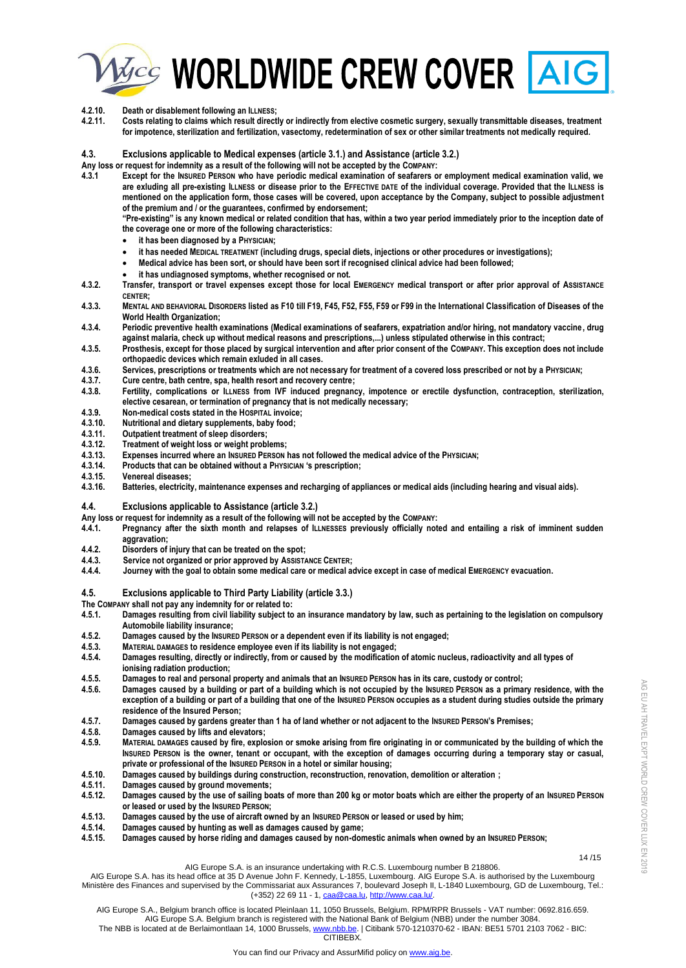



**4.2.11. Costs relating to claims which result directly or indirectly from elective cosmetic surgery, sexually transmittable diseases, treatment for impotence, sterilization and fertilization, vasectomy, redetermination of sex or other similar treatments not medically required.**

#### **4.3. Exclusions applicable to Medical expenses (article 3.1.) and Assistance (article 3.2.)**

**Any loss or request for indemnity as a result of the following will not be accepted by the COMPANY:**

**4.3.1 Except for the INSURED PERSON who have periodic medical examination of seafarers or employment medical examination valid, we are exluding all pre-existing ILLNESS or disease prior to the EFFECTIVE DATE of the individual coverage. Provided that the ILLNESS is mentioned on the application form, those cases will be covered, upon acceptance by the Company, subject to possible adjustment of the premium and / or the guarantees, confirmed by endorsement;** 

**"Pre-existing" is any known medical or related condition that has, within a two year period immediately prior to the inception date of the coverage one or more of the following characteristics:**

- **it has been diagnosed by a PHYSICIAN;**
- **it has needed MEDICAL TREATMENT (including drugs, special diets, injections or other procedures or investigations);**
- **Medical advice has been sort, or should have been sort if recognised clinical advice had been followed;**
- **it has undiagnosed symptoms, whether recognised or not.**
- **4.3.2. Transfer, transport or travel expenses except those for local EMERGENCY medical transport or after prior approval of ASSISTANCE CENTER;**
- 4.3.3. MENTAL AND BEHAVIORAL DISORDERS listed as F10 till F19, F45, F52, F55, F59 or F99 in the International Classification of Diseases of the **World Health Organization;**
- **4.3.4. Periodic preventive health examinations (Medical examinations of seafarers, expatriation and/or hiring, not mandatory vaccine, drug against malaria, check up without medical reasons and prescriptions,...) unless stipulated otherwise in this contract;**
- **4.3.5. Prosthesis, except for those placed by surgical intervention and after prior consent of the COMPANY. This exception does not include orthopaedic devices which remain exluded in all cases.**
- **4.3.6. Services, prescriptions or treatments which are not necessary for treatment of a covered loss prescribed or not by a PHYSICIAN;**
- **4.3.7. Cure centre, bath centre, spa, health resort and recovery centre;**
- **4.3.8. Fertility, complications or ILLNESS from IVF induced pregnancy, impotence or erectile dysfunction, contraception, sterilization, elective cesarean, or termination of pregnancy that is not medically necessary;**
- **4.3.9. Non-medical costs stated in the HOSPITAL invoice;**
- **4.3.10. Nutritional and dietary supplements, baby food;**
- **4.3.11. Outpatient treatment of sleep disorders;**
- **4.3.12. Treatment of weight loss or weight problems;**
- **4.3.13. Expenses incurred where an INSURED PERSON has not followed the medical advice of the PHYSICIAN;**
- **4.3.14. Products that can be obtained without a PHYSICIAN 's prescription;**
- **4.3.15. Venereal diseases;**
- **4.3.16. Batteries, electricity, maintenance expenses and recharging of appliances or medical aids (including hearing and visual aids).**

#### **4.4. Exclusions applicable to Assistance (article 3.2.)**

- **Any loss or request for indemnity as a result of the following will not be accepted by the COMPANY:**
- **4.4.1. Pregnancy after the sixth month and relapses of ILLNESSES previously officially noted and entailing a risk of imminent sudden aggravation;**
- **4.4.2. Disorders of injury that can be treated on the spot;**
- 
- **4.4.3. Service not organized or prior approved by ASSISTANCE CENTER; 4.4.4. Journey with the goal to obtain some medical care or medical advice except in case of medical EMERGENCY evacuation.**

#### **4.5. Exclusions applicable to Third Party Liability (article 3.3.)**

**The COMPANY shall not pay any indemnity for or related to:**

- **4.5.1. Damages resulting from civil liability subject to an insurance mandatory by law, such as pertaining to the legislation on compulsory Automobile liability insurance;**
- **4.5.2. Damages caused by the INSURED PERSON or a dependent even if its liability is not engaged;**
- **4.5.3. MATERIAL DAMAGES to residence employee even if its liability is not engaged;**
- **4.5.4. Damages resulting, directly or indirectly, from or caused by the modification of atomic nucleus, radioactivity and all types of ionising radiation production;**
- **4.5.5. Damages to real and personal property and animals that an INSURED PERSON has in its care, custody or control;**
- **4.5.6. Damages caused by a building or part of a building which is not occupied by the INSURED PERSON as a primary residence, with the exception of a building or part of a building that one of the INSURED PERSON occupies as a student during studies outside the primary residence of the Insured Person;**
- **4.5.7. Damages caused by gardens greater than 1 ha of land whether or not adjacent to the INSURED PERSON's Premises;**
- **4.5.8. Damages caused by lifts and elevators;**
- **4.5.9. MATERIAL DAMAGES caused by fire, explosion or smoke arising from fire originating in or communicated by the building of which the INSURED PERSON is the owner, tenant or occupant, with the exception of damages occurring during a temporary stay or casual, private or professional of the INSURED PERSON in a hotel or similar housing;**
- **4.5.10. Damages caused by buildings during construction, reconstruction, renovation, demolition or alteration ;**
- **4.5.11. Damages caused by ground movements;**
- **4.5.12. Damages caused by the use of sailing boats of more than 200 kg or motor boats which are either the property of an INSURED PERSON or leased or used by the INSURED PERSON;**
- **4.5.13. Damages caused by the use of aircraft owned by an INSURED PERSON or leased or used by him;**
- **4.5.14. Damages caused by hunting as well as damages caused by game;**
- **4.5.15. Damages caused by horse riding and damages caused by non-domestic animals when owned by an INSURED PERSON;**

 14 /15 AIG Europe S.A. is an insurance undertaking with R.C.S. Luxembourg number B 218806.

AIG Europe S.A. has its head office at 35 D Avenue John F. Kennedy, L-1855, Luxembourg. AIG Europe S.A. is authorised by the Luxembourg Ministère des Finances and supervised by the Commissariat aux Assurances 7, boulevard Joseph II, L-1840 Luxembourg, GD de Luxembourg, Tel.: (+352) 22 69 11 - 1[, caa@caa.lu,](mailto:caa@caa.lu) [http://www.caa.lu/.](http://www.caa.lu/)

AIG Europe S.A., Belgium branch office is located Pleinlaan 11, 1050 Brussels, Belgium. RPM/RPR Brussels - VAT number: 0692.816.659. AIG Europe S.A. Belgium branch is registered with the National Bank of Belgium (NBB) under the number 3084.

The NBB is located at de Berlaimontlaan 14, 1000 Brussels[, www.nbb.be.](http://www.nbb.be/) | Citibank 570-1210370-62 - IBAN: BE51 5701 2103 7062 - BIC: